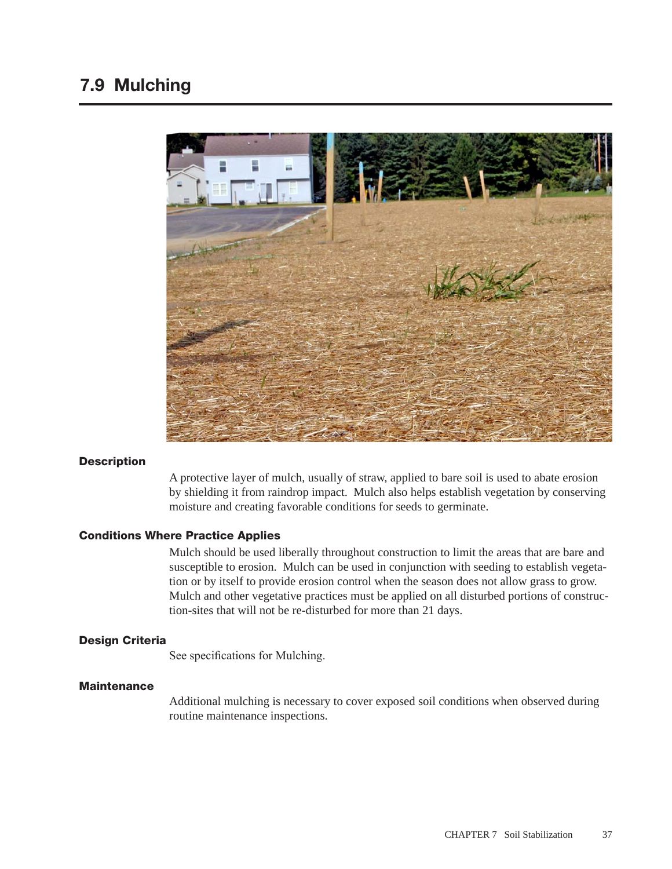

### **Description**

A protective layer of mulch, usually of straw, applied to bare soil is used to abate erosion by shielding it from raindrop impact. Mulch also helps establish vegetation by conserving moisture and creating favorable conditions for seeds to germinate.

### Conditions Where Practice Applies

Mulch should be used liberally throughout construction to limit the areas that are bare and susceptible to erosion. Mulch can be used in conjunction with seeding to establish vegetation or by itself to provide erosion control when the season does not allow grass to grow. Mulch and other vegetative practices must be applied on all disturbed portions of construction-sites that will not be re-disturbed for more than 21 days.

# Design Criteria

See specifications for Mulching.

### **Maintenance**

Additional mulching is necessary to cover exposed soil conditions when observed during routine maintenance inspections.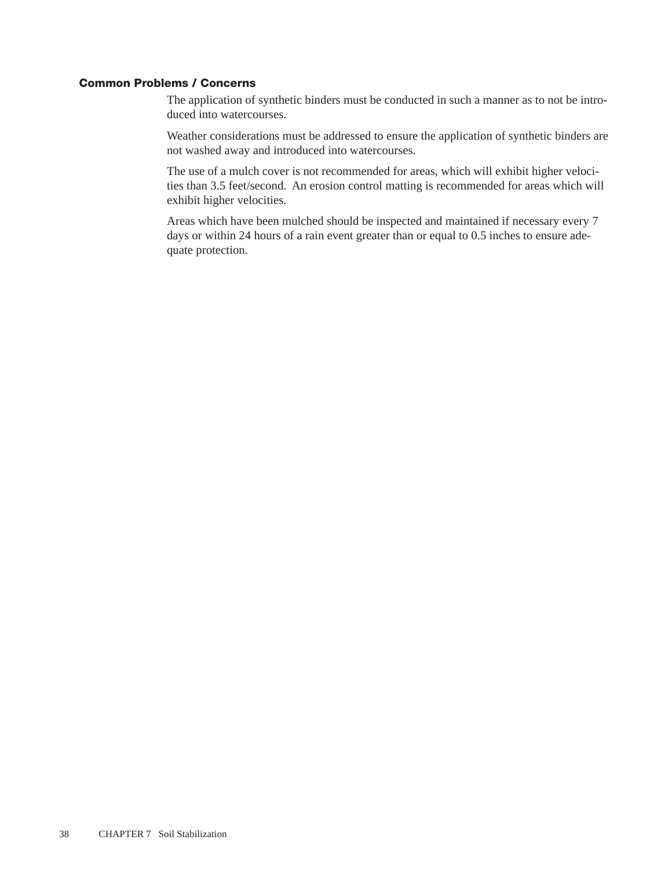## Common Problems / Concerns

The application of synthetic binders must be conducted in such a manner as to not be introduced into watercourses.

Weather considerations must be addressed to ensure the application of synthetic binders are not washed away and introduced into watercourses.

The use of a mulch cover is not recommended for areas, which will exhibit higher velocities than 3.5 feet/second. An erosion control matting is recommended for areas which will exhibit higher velocities.

Areas which have been mulched should be inspected and maintained if necessary every 7 days or within 24 hours of a rain event greater than or equal to 0.5 inches to ensure adequate protection.